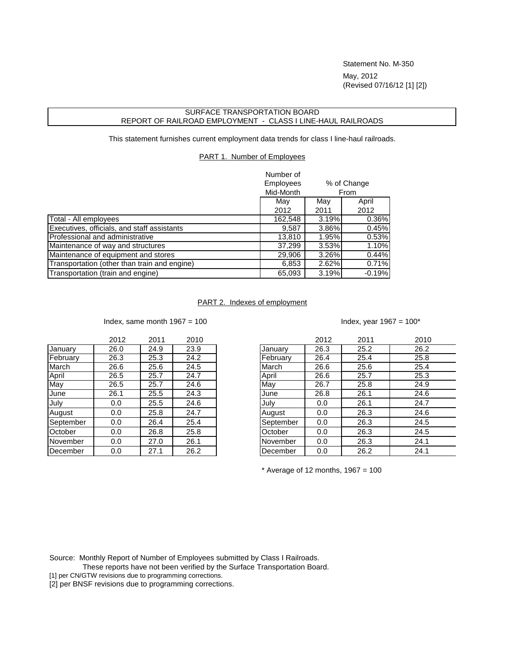Statement No. M-350 May, 2012 (Revised 07/16/12 [1] [2])

## SURFACE TRANSPORTATION BOARD REPORT OF RAILROAD EMPLOYMENT - CLASS I LINE-HAUL RAILROADS

This statement furnishes current employment data trends for class I line-haul railroads.

## PART 1. Number of Employees

|                                              | Number of<br><b>Employees</b><br>% of Change<br>Mid-Month<br>From |       |          |
|----------------------------------------------|-------------------------------------------------------------------|-------|----------|
|                                              | May                                                               | May   | April    |
|                                              | 2012                                                              | 2011  | 2012     |
| Total - All employees                        | 162,548                                                           | 3.19% | 0.36%    |
| Executives, officials, and staff assistants  | 9,587                                                             | 3.86% | 0.45%    |
| Professional and administrative              | 13,810                                                            | 1.95% | 0.53%    |
| Maintenance of way and structures            | 37,299                                                            | 3.53% | 1.10%    |
| Maintenance of equipment and stores          | 29,906                                                            | 3.26% | 0.44%    |
| Transportation (other than train and engine) | 6,853                                                             | 2.62% | 0.71%    |
| Transportation (train and engine)            | 65,093                                                            | 3.19% | $-0.19%$ |

## PART 2. Indexes of employment

Index, same month  $1967 = 100$  Index, year  $1967 = 100^*$ 

|           | 2012 | 2011 | 2010 |
|-----------|------|------|------|
| January   | 26.0 | 24.9 | 23.9 |
| February  | 26.3 | 25.3 | 24.2 |
| March     | 26.6 | 25.6 | 24.5 |
| April     | 26.5 | 25.7 | 24.7 |
| May       | 26.5 | 25.7 | 24.6 |
| June      | 26.1 | 25.5 | 24.3 |
| July      | 0.0  | 25.5 | 24.6 |
| August    | 0.0  | 25.8 | 24.7 |
| September | 0.0  | 26.4 | 25.4 |
| October   | 0.0  | 26.8 | 25.8 |
| November  | 0.0  | 27.0 | 26.1 |
| December  | 0.0  | 27.1 | 26.2 |

|           | 2012 | 2011 | 2010 |           | 2012 | 2011 | 2010 |
|-----------|------|------|------|-----------|------|------|------|
| January   | 26.0 | 24.9 | 23.9 | January   | 26.3 | 25.2 | 26.2 |
| February  | 26.3 | 25.3 | 24.2 | February  | 26.4 | 25.4 | 25.8 |
| March     | 26.6 | 25.6 | 24.5 | March     | 26.6 | 25.6 | 25.4 |
| April     | 26.5 | 25.7 | 24.7 | April     | 26.6 | 25.7 | 25.3 |
| May       | 26.5 | 25.7 | 24.6 | May       | 26.7 | 25.8 | 24.9 |
| June      | 26.1 | 25.5 | 24.3 | June      | 26.8 | 26.1 | 24.6 |
| July      | 0.0  | 25.5 | 24.6 | July      | 0.0  | 26.1 | 24.7 |
| August    | 0.0  | 25.8 | 24.7 | August    | 0.0  | 26.3 | 24.6 |
| September | 0.0  | 26.4 | 25.4 | September | 0.0  | 26.3 | 24.5 |
| October   | 0.0  | 26.8 | 25.8 | October   | 0.0  | 26.3 | 24.5 |
| November  | 0.0  | 27.0 | 26.1 | November  | 0.0  | 26.3 | 24.1 |
| December  | 0.0  | 27.1 | 26.2 | December  | 0.0  | 26.2 | 24.1 |
|           |      |      |      |           |      |      |      |

 $*$  Average of 12 months, 1967 = 100

Source: Monthly Report of Number of Employees submitted by Class I Railroads.

These reports have not been verified by the Surface Transportation Board.

[1] per CN/GTW revisions due to programming corrections.

[2] per BNSF revisions due to programming corrections.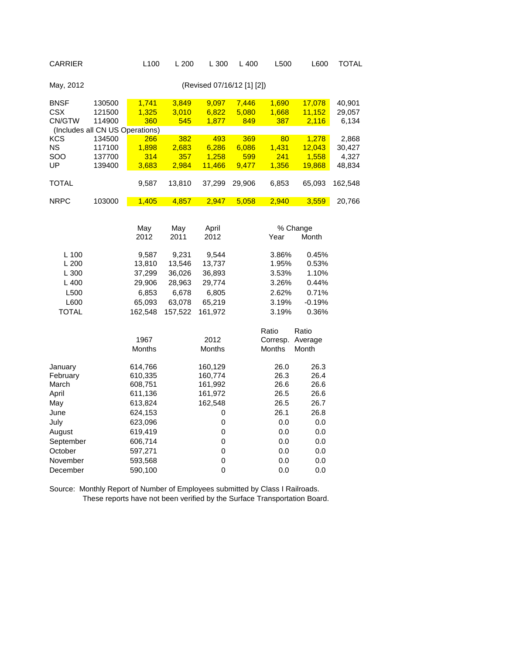| <b>CARRIER</b>                                                         |                                      | L100                                                                                 | L 200                                                                            | L 300                                                                              | L 400                        | L500                                                                         | L600                                                                                         | <b>TOTAL</b>                       |
|------------------------------------------------------------------------|--------------------------------------|--------------------------------------------------------------------------------------|----------------------------------------------------------------------------------|------------------------------------------------------------------------------------|------------------------------|------------------------------------------------------------------------------|----------------------------------------------------------------------------------------------|------------------------------------|
| May, 2012                                                              |                                      |                                                                                      |                                                                                  | (Revised 07/16/12 [1] [2])                                                         |                              |                                                                              |                                                                                              |                                    |
| <b>BNSF</b><br><b>CSX</b><br>CN/GTW<br>(Includes all CN US Operations) | 130500<br>121500<br>114900           | 1,741<br>1,325<br>360                                                                | 3,849<br>3,010<br>545                                                            | 9,097<br>6,822<br>1,877                                                            | 7,446<br>5,080<br>849        | 1,690<br>1,668<br>387                                                        | 17,078<br>11,152<br>2,116                                                                    | 40,901<br>29,057<br>6,134          |
| <b>KCS</b><br><b>NS</b><br>SOO<br>UP                                   | 134500<br>117100<br>137700<br>139400 | 266<br>1,898<br>314<br>3,683                                                         | 382<br>2,683<br>357<br>2,984                                                     | 493<br>6,286<br>1,258<br>11,466                                                    | 369<br>6,086<br>599<br>9,477 | 80<br>1,431<br>241<br>1,356                                                  | 1,278<br>12,043<br>1,558<br>19,868                                                           | 2,868<br>30,427<br>4,327<br>48,834 |
| <b>TOTAL</b>                                                           |                                      | 9,587                                                                                | 13,810                                                                           | 37,299                                                                             | 29,906                       | 6,853                                                                        | 65,093                                                                                       | 162,548                            |
| <b>NRPC</b>                                                            | 103000                               | 1,405                                                                                | 4,857                                                                            | 2,947                                                                              | 5,058                        | 2,940                                                                        | 3,559                                                                                        | 20,766                             |
| L 100<br>L200<br>L 300<br>L 400<br>L500<br>L600<br><b>TOTAL</b>        |                                      | May<br>2012<br>9,587<br>13,810<br>37,299<br>29,906<br>6,853<br>65,093<br>162,548     | May<br>2011<br>9,231<br>13,546<br>36,026<br>28,963<br>6,678<br>63,078<br>157,522 | April<br>2012<br>9,544<br>13,737<br>36,893<br>29,774<br>6,805<br>65,219<br>161,972 |                              | Year<br>3.86%<br>1.95%<br>3.53%<br>3.26%<br>2.62%<br>3.19%<br>3.19%<br>Ratio | % Change<br>Month<br>0.45%<br>0.53%<br>1.10%<br>0.44%<br>0.71%<br>$-0.19%$<br>0.36%<br>Ratio |                                    |
|                                                                        |                                      | 1967<br>Months                                                                       |                                                                                  | 2012<br>Months                                                                     |                              | Corresp.<br>Months                                                           | Average<br>Month                                                                             |                                    |
| January<br>February<br>March<br>April<br>May<br>June<br>July<br>August |                                      | 614,766<br>610,335<br>608,751<br>611,136<br>613,824<br>624,153<br>623,096<br>619,419 |                                                                                  | 160,129<br>160,774<br>161,992<br>161,972<br>162,548<br>0<br>0<br>$\mathbf 0$<br>0  |                              | 26.0<br>26.3<br>26.6<br>26.5<br>26.5<br>26.1<br>0.0<br>0.0<br>0.0            | 26.3<br>26.4<br>26.6<br>26.6<br>26.7<br>26.8<br>0.0<br>0.0<br>0.0                            |                                    |
| September<br>October<br>November<br>December                           |                                      | 606,714<br>597,271<br>593,568<br>590,100                                             |                                                                                  | $\mathbf 0$<br>$\mathbf 0$<br>0                                                    |                              | 0.0<br>0.0<br>0.0                                                            | 0.0<br>0.0<br>0.0                                                                            |                                    |

Source: Monthly Report of Number of Employees submitted by Class I Railroads. These reports have not been verified by the Surface Transportation Board.